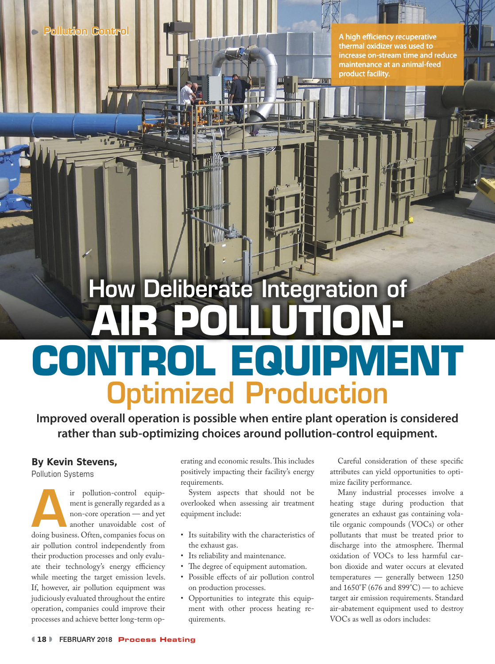A high efficiency recuperative thermal oxidizer was used to increase on-stream time and reduce maintenance at an animal-feed product facility.

# How Deliberate Integration of Optimized Production **AIR POLLUTION-CONTROL EQUIPMENT**

**Improved overall operation is possible when entire plant operation is considered rather than sub-optimizing choices around pollution-control equipment.**

## **By Kevin Stevens,**

Pollution Systems

ir pollution-control equip-<br>ment is generally regarded as a<br>non-core operation — and yet<br>another unavoidable cost of<br>doing business. Often, companies focus on ir pollution-control equipment is generally regarded as a non-core operation — and yet another unavoidable cost of air pollution control independently from their production processes and only evaluate their technology's energy efficiency while meeting the target emission levels. If, however, air pollution equipment was judiciously evaluated throughout the entire operation, companies could improve their processes and achieve better long-term operating and economic results. This includes positively impacting their facility's energy requirements.

System aspects that should not be overlooked when assessing air treatment equipment include:

- Its suitability with the characteristics of the exhaust gas.
- Its reliability and maintenance.
- The degree of equipment automation.
- Possible effects of air pollution control on production processes.
- Opportunities to integrate this equipment with other process heating requirements.

Careful consideration of these specific attributes can yield opportunities to optimize facility performance.

Many industrial processes involve a heating stage during production that generates an exhaust gas containing volatile organic compounds (VOCs) or other pollutants that must be treated prior to discharge into the atmosphere. Thermal oxidation of VOCs to less harmful carbon dioxide and water occurs at elevated temperatures — generally between 1250 and 1650°F (676 and 899°C) — to achieve target air emission requirements. Standard air-abatement equipment used to destroy VOCs as well as odors includes: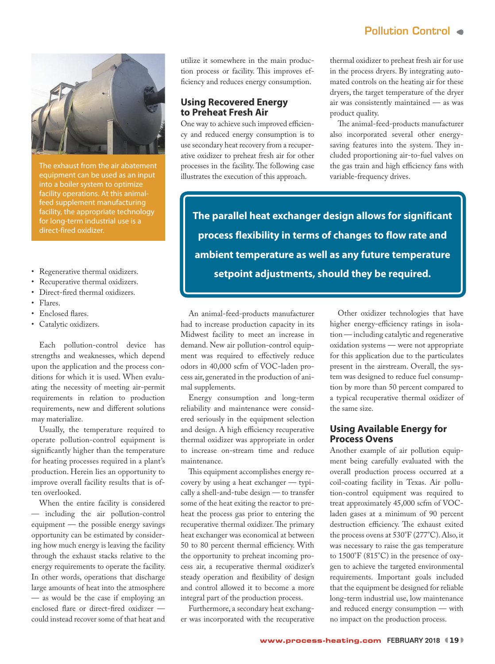# Pollution Control



The exhaust from the air abatement equipment can be used as an input into a boiler system to optimize facility operations. At this animalfeed supplement manufacturing facility, the appropriate technology for long-term industrial use is a direct-fired oxidizer.

- Regenerative thermal oxidizers.
- Recuperative thermal oxidizers.
- Direct-fired thermal oxidizers.
- Flares.
- Enclosed flares.
- Catalytic oxidizers.

Each pollution-control device has strengths and weaknesses, which depend upon the application and the process conditions for which it is used. When evaluating the necessity of meeting air-permit requirements in relation to production requirements, new and different solutions may materialize.

Usually, the temperature required to operate pollution-control equipment is significantly higher than the temperature for heating processes required in a plant's production. Herein lies an opportunity to improve overall facility results that is often overlooked.

When the entire facility is considered — including the air pollution-control equipment — the possible energy savings opportunity can be estimated by considering how much energy is leaving the facility through the exhaust stacks relative to the energy requirements to operate the facility. In other words, operations that discharge large amounts of heat into the atmosphere — as would be the case if employing an enclosed flare or direct-fired oxidizer could instead recover some of that heat and

utilize it somewhere in the main production process or facility. This improves efficiency and reduces energy consumption.

#### **Using Recovered Energy to Preheat Fresh Air**

One way to achieve such improved efficiency and reduced energy consumption is to use secondary heat recovery from a recuperative oxidizer to preheat fresh air for other processes in the facility. The following case illustrates the execution of this approach.

thermal oxidizer to preheat fresh air for use in the process dryers. By integrating automated controls on the heating air for these dryers, the target temperature of the dryer air was consistently maintained — as was product quality.

The animal-feed-products manufacturer also incorporated several other energysaving features into the system. They included proportioning air-to-fuel valves on the gas train and high efficiency fans with variable-frequency drives.

**The parallel heat exchanger design allows for significant process flexibility in terms of changes to flow rate and ambient temperature as well as any future temperature setpoint adjustments, should they be required.**

An animal-feed-products manufacturer had to increase production capacity in its Midwest facility to meet an increase in demand. New air pollution-control equipment was required to effectively reduce odors in 40,000 scfm of VOC-laden process air, generated in the production of animal supplements.

Energy consumption and long-term reliability and maintenance were considered seriously in the equipment selection and design. A high efficiency recuperative thermal oxidizer was appropriate in order to increase on-stream time and reduce maintenance.

This equipment accomplishes energy recovery by using a heat exchanger — typically a shell-and-tube design — to transfer some of the heat exiting the reactor to preheat the process gas prior to entering the recuperative thermal oxidizer. The primary heat exchanger was economical at between 50 to 80 percent thermal efficiency. With the opportunity to preheat incoming process air, a recuperative thermal oxidizer's steady operation and flexibility of design and control allowed it to become a more integral part of the production process.

Furthermore, a secondary heat exchanger was incorporated with the recuperative

Other oxidizer technologies that have higher energy-efficiency ratings in isolation — including catalytic and regenerative oxidation systems — were not appropriate for this application due to the particulates present in the airstream. Overall, the system was designed to reduce fuel consumption by more than 50 percent compared to a typical recuperative thermal oxidizer of the same size.

#### **Using Available Energy for Process Ovens**

Another example of air pollution equipment being carefully evaluated with the overall production process occurred at a coil-coating facility in Texas. Air pollution-control equipment was required to treat approximately 45,000 scfm of VOCladen gases at a minimum of 90 percent destruction efficiency. The exhaust exited the process ovens at 530°F (277°C). Also, it was necessary to raise the gas temperature to 1500°F (815°C) in the presence of oxygen to achieve the targeted environmental requirements. Important goals included that the equipment be designed for reliable long-term industrial use, low maintenance and reduced energy consumption — with no impact on the production process.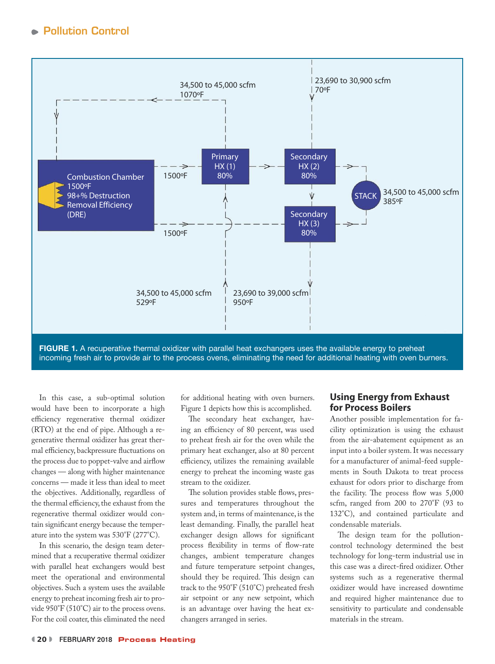

**FIGURE 1.** A recuperative thermal oxidizer with parallel heat exchangers uses the available energy to preheat incoming fresh air to provide air to the process ovens, eliminating the need for additional heating with oven burners.

In this case, a sub-optimal solution would have been to incorporate a high efficiency regenerative thermal oxidizer (RTO) at the end of pipe. Although a regenerative thermal oxidizer has great thermal efficiency, backpressure fluctuations on the process due to poppet-valve and airflow changes — along with higher maintenance concerns — made it less than ideal to meet the objectives. Additionally, regardless of the thermal efficiency, the exhaust from the regenerative thermal oxidizer would contain significant energy because the temperature into the system was 530°F (277°C).

In this scenario, the design team determined that a recuperative thermal oxidizer with parallel heat exchangers would best meet the operational and environmental objectives. Such a system uses the available energy to preheat incoming fresh air to provide 950°F (510°C) air to the process ovens. For the coil coater, this eliminated the need for additional heating with oven burners. Figure 1 depicts how this is accomplished.

The secondary heat exchanger, having an efficiency of 80 percent, was used to preheat fresh air for the oven while the primary heat exchanger, also at 80 percent efficiency, utilizes the remaining available energy to preheat the incoming waste gas stream to the oxidizer.

The solution provides stable flows, pressures and temperatures throughout the system and, in terms of maintenance, is the least demanding. Finally, the parallel heat exchanger design allows for significant process flexibility in terms of flow-rate changes, ambient temperature changes and future temperature setpoint changes, should they be required. This design can track to the 950°F (510°C) preheated fresh air setpoint or any new setpoint, which is an advantage over having the heat exchangers arranged in series.

#### **Using Energy from Exhaust for Process Boilers**

Another possible implementation for facility optimization is using the exhaust from the air-abatement equipment as an input into a boiler system. It was necessary for a manufacturer of animal-feed supplements in South Dakota to treat process exhaust for odors prior to discharge from the facility. The process flow was 5,000 scfm, ranged from 200 to 270°F (93 to 132°C), and contained particulate and condensable materials.

The design team for the pollutioncontrol technology determined the best technology for long-term industrial use in this case was a direct-fired oxidizer. Other systems such as a regenerative thermal oxidizer would have increased downtime and required higher maintenance due to sensitivity to particulate and condensable materials in the stream.